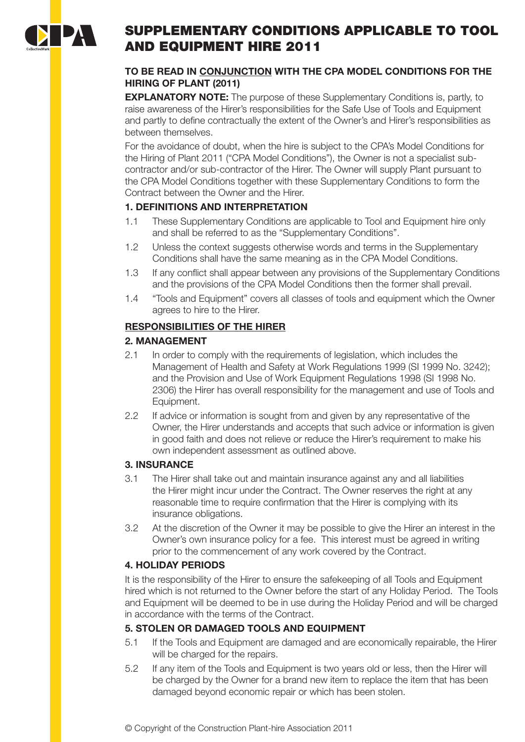

# SUPPLEMENTARY CONDITIONS APPLICABLE TO TOOL AND EQUIPMENT HIRE 2011

# **TO BE READ IN CONJUNCTION WITH THE CPA MODEL CONDITIONS FOR THE HIRING OF PLANT (2011)**

**EXPLANATORY NOTE:** The purpose of these Supplementary Conditions is, partly, to raise awareness of the Hirer's responsibilities for the Safe Use of Tools and Equipment and partly to define contractually the extent of the Owner's and Hirer's responsibilities as between themselves.

For the avoidance of doubt, when the hire is subject to the CPA's Model Conditions for the Hiring of Plant 2011 ("CPA Model Conditions"), the Owner is not a specialist subcontractor and/or sub-contractor of the Hirer. The Owner will supply Plant pursuant to the CPA Model Conditions together with these Supplementary Conditions to form the Contract between the Owner and the Hirer.

# **1. DEFINITIONS AND INTERPRETATION**

- 1.1 These Supplementary Conditions are applicable to Tool and Equipment hire only and shall be referred to as the "Supplementary Conditions".
- 1.2 Unless the context suggests otherwise words and terms in the Supplementary Conditions shall have the same meaning as in the CPA Model Conditions.
- 1.3 If any conflict shall appear between any provisions of the Supplementary Conditions and the provisions of the CPA Model Conditions then the former shall prevail.
- 1.4 "Tools and Equipment" covers all classes of tools and equipment which the Owner agrees to hire to the Hirer.

# **RESPONSIBILITIES OF THE HIRER**

# **2. MANAGEMENT**

- 2.1 In order to comply with the requirements of legislation, which includes the Management of Health and Safety at Work Regulations 1999 (SI 1999 No. 3242); and the Provision and Use of Work Equipment Regulations 1998 (SI 1998 No. 2306) the Hirer has overall responsibility for the management and use of Tools and Equipment.
- 2.2 If advice or information is sought from and given by any representative of the Owner, the Hirer understands and accepts that such advice or information is given in good faith and does not relieve or reduce the Hirer's requirement to make his own independent assessment as outlined above.

# **3. INSURANCE**

- 3.1 The Hirer shall take out and maintain insurance against any and all liabilities the Hirer might incur under the Contract. The Owner reserves the right at any reasonable time to require confirmation that the Hirer is complying with its insurance obligations.
- 3.2 At the discretion of the Owner it may be possible to give the Hirer an interest in the Owner's own insurance policy for a fee. This interest must be agreed in writing prior to the commencement of any work covered by the Contract.

# **4. HOLIDAY PERIODS**

It is the responsibility of the Hirer to ensure the safekeeping of all Tools and Equipment hired which is not returned to the Owner before the start of any Holiday Period. The Tools and Equipment will be deemed to be in use during the Holiday Period and will be charged in accordance with the terms of the Contract.

# **5. STOLEN OR DAMAGED TOOLS AND EQUIPMENT**

- 5.1 If the Tools and Equipment are damaged and are economically repairable, the Hirer will be charged for the repairs.
- 5.2 If any item of the Tools and Equipment is two years old or less, then the Hirer will be charged by the Owner for a brand new item to replace the item that has been damaged beyond economic repair or which has been stolen.